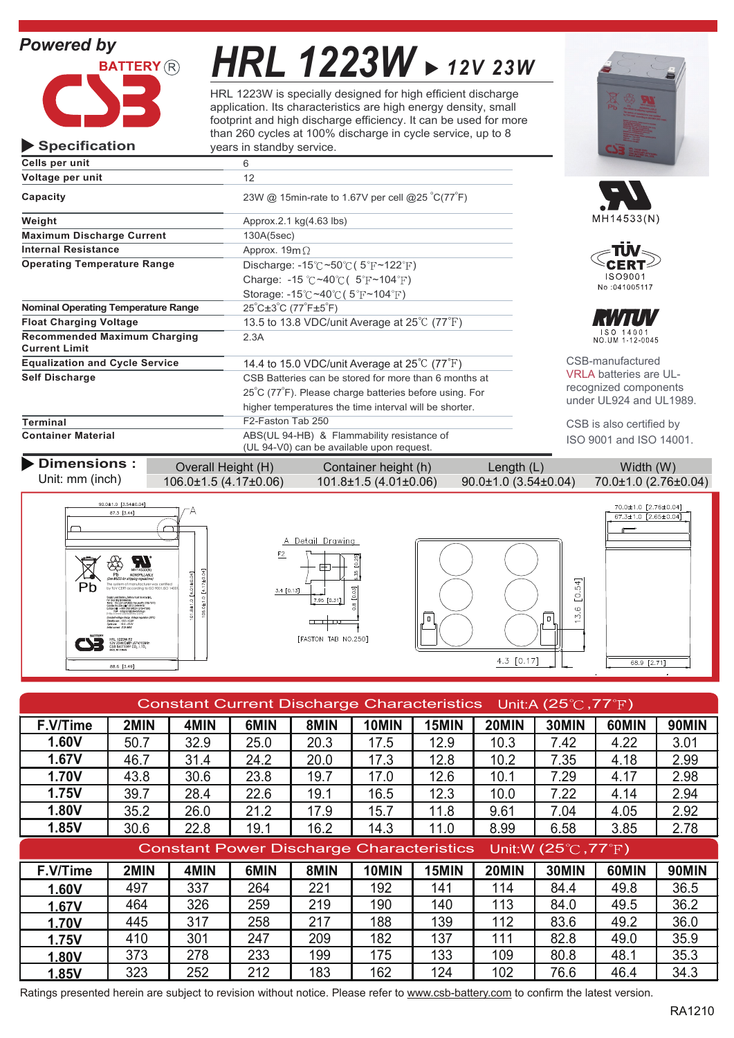# *Powered by*

**Specification**



# *HRL 1223W 12V 23W*

HRL 1223W is specially designed for high efficient discharge application. Its characteristics are high energy density, small footprint and high discharge efficiency. It can be used for more than 260 cycles at 100% discharge in cycle service, up to 8 years in standby service.

| Cells per unit                                              | 6                                                                                       |  |  |  |  |
|-------------------------------------------------------------|-----------------------------------------------------------------------------------------|--|--|--|--|
| Voltage per unit                                            | 12                                                                                      |  |  |  |  |
| Capacity                                                    | 23W @ 15min-rate to 1.67V per cell @25 °C(77°F)                                         |  |  |  |  |
| Weight                                                      | Approx.2.1 $kg(4.63$ lbs)                                                               |  |  |  |  |
| <b>Maximum Discharge Current</b>                            | 130A(5sec)                                                                              |  |  |  |  |
| <b>Internal Resistance</b>                                  | Approx. $19m\Omega$                                                                     |  |  |  |  |
| <b>Operating Temperature Range</b>                          | Discharge: $-15^{\circ}$ C ~50 $\circ$ C (5 $\circ$ F ~122 $\circ$ F)                   |  |  |  |  |
|                                                             | Charge: -15 °C ~40 °C ( $5$ °F ~104 °F)                                                 |  |  |  |  |
|                                                             | Storage: $-15^{\circ}$ C ~40 $^{\circ}$ C (5 $^{\circ}$ F ~104 $^{\circ}$ F)            |  |  |  |  |
| <b>Nominal Operating Temperature Range</b>                  | $25^{\circ}$ C $\pm 3^{\circ}$ C (77 $^{\circ}$ F $\pm 5^{\circ}$ F)                    |  |  |  |  |
| <b>Float Charging Voltage</b>                               | 13.5 to 13.8 VDC/unit Average at 25°C (77°F)                                            |  |  |  |  |
| <b>Recommended Maximum Charging</b><br><b>Current Limit</b> | 2.3A                                                                                    |  |  |  |  |
| <b>Equalization and Cycle Service</b>                       | 14.4 to 15.0 VDC/unit Average at $25^{\circ}$ C (77 $^{\circ}$ F)                       |  |  |  |  |
| Self Discharge                                              | CSB Batteries can be stored for more than 6 months at                                   |  |  |  |  |
|                                                             | 25°C (77°F). Please charge batteries before using. For                                  |  |  |  |  |
|                                                             | higher temperatures the time interval will be shorter.                                  |  |  |  |  |
| <b>Terminal</b>                                             | F2-Faston Tab 250                                                                       |  |  |  |  |
| <b>Container Material</b>                                   | ABS(UL 94-HB) & Flammability resistance of<br>(UL 94-V0) can be available upon request. |  |  |  |  |









CSB-manufactured VRLA batteries are ULrecognized components under UL924 and UL1989.

CSB is also certified by ISO 9001 and ISO 14001.

#### **Dimensions :** Overall Height (H) Container height (h) Length (L) Width (W) Unit: mm (inch) 106.0±1.5 (4.17±0.06) 101.8±1.5 (4.01±0.06) 90.0±1.0 (3.54±0.04) 70.0±1.0 (2.76±0.04)









| Constant Current Discharge Characteristics Unit:A (25 $\degree$ C, 77 $\degree$ F) |      |      |      |      |       |       |       |       |       |              |
|------------------------------------------------------------------------------------|------|------|------|------|-------|-------|-------|-------|-------|--------------|
| F.V/Time                                                                           | 2MIN | 4MIN | 6MIN | 8MIN | 10MIN | 15MIN | 20MIN | 30MIN | 60MIN | <b>90MIN</b> |
| 1.60V                                                                              | 50.7 | 32.9 | 25.0 | 20.3 | 17.5  | 12.9  | 10.3  | 7.42  | 4.22  | 3.01         |
| 1.67V                                                                              | 46.7 | 31.4 | 24.2 | 20.0 | 17.3  | 12.8  | 10.2  | 7.35  | 4.18  | 2.99         |
| <b>1.70V</b>                                                                       | 43.8 | 30.6 | 23.8 | 19.7 | 17.0  | 12.6  | 10.1  | 7.29  | 4.17  | 2.98         |
| 1.75V                                                                              | 39.7 | 28.4 | 22.6 | 19.1 | 16.5  | 12.3  | 10.0  | 7.22  | 4.14  | 2.94         |
| 1.80V                                                                              | 35.2 | 26.0 | 21.2 | 17.9 | 15.7  | 11.8  | 9.61  | 7.04  | 4.05  | 2.92         |
| 1.85V                                                                              | 30.6 | 22.8 | 19.1 | 16.2 | 14.3  | 11.0  | 8.99  | 6.58  | 3.85  | 2.78         |
| <b>Constant Power Discharge Characteristics</b><br>Unit:W (25°C, 77°F)             |      |      |      |      |       |       |       |       |       |              |
| F.V/Time                                                                           | 2MIN | 4MIN | 6MIN | 8MIN | 10MIN | 15MIN | 20MIN | 30MIN | 60MIN | <b>90MIN</b> |
| 1.60V                                                                              | 497  | 337  | 264  | 221  | 192   | 141   | 114   | 84.4  | 49.8  | 36.5         |
| 1.67V                                                                              | 464  | 326  | 259  | 219  | 190   | 140   | 113   | 84.0  | 49.5  | 36.2         |
| <b>1.70V</b>                                                                       | 445  | 317  | 258  | 217  | 188   | 139   | 112   | 83.6  | 49.2  | 36.0         |
| 1.75V                                                                              | 410  | 301  | 247  | 209  | 182   | 137   | 111   | 82.8  | 49.0  | 35.9         |
| 1.80V                                                                              | 373  | 278  | 233  | 199  | 175   | 133   | 109   | 80.8  | 48.1  | 35.3         |
| 1.85V                                                                              | 323  | 252  | 212  | 183  | 162   | 124   | 102   | 76.6  | 46.4  | 34.3         |

Ratings presented herein are subject to revision without notice. Please refer to www.csb-battery.com to confirm the latest version.